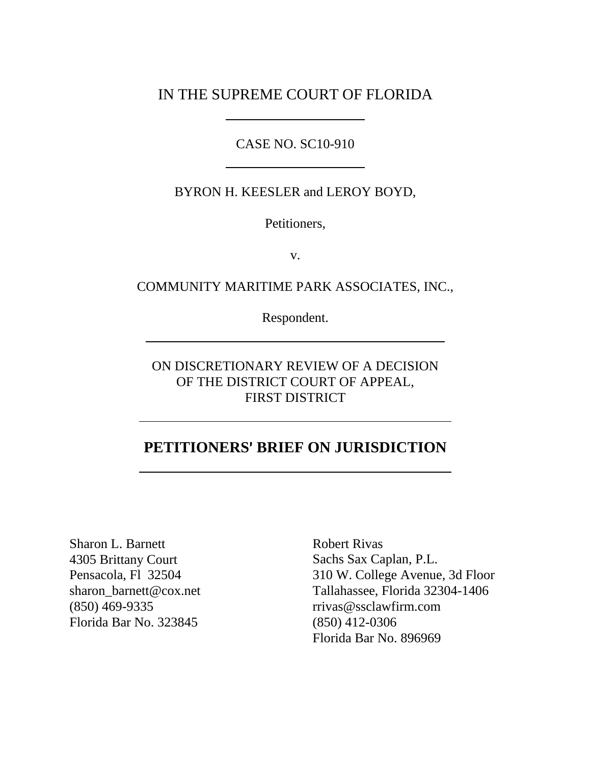IN THE SUPREME COURT OF FLORIDA

CASE NO. SC10-910

BYRON H. KEESLER and LEROY BOYD,

Petitioners,

v.

COMMUNITY MARITIME PARK ASSOCIATES, INC.,

Respondent.

ON DISCRETIONARY REVIEW OF A DECISION OF THE DISTRICT COURT OF APPEAL, FIRST DISTRICT

## **PETITIONERS**= **BRIEF ON JURISDICTION**

Sharon L. Barnett 4305 Brittany Court Pensacola, Fl 32504 sharon\_barnett@cox.net (850) 469-9335 Florida Bar No. 323845

Robert Rivas Sachs Sax Caplan, P.L. 310 W. College Avenue, 3d Floor Tallahassee, Florida 32304-1406 rrivas@ssclawfirm.com (850) 412-0306 Florida Bar No. 896969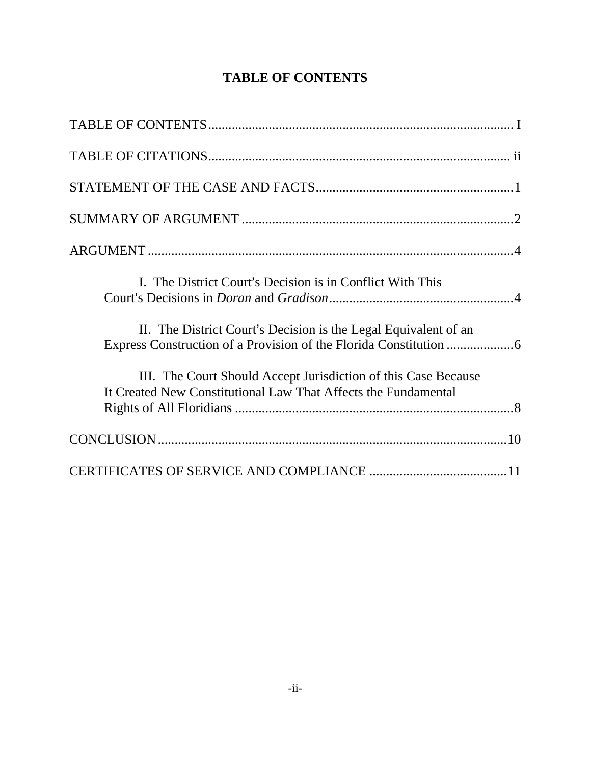# **TABLE OF CONTENTS**

| I. The District Court's Decision is in Conflict With This                                                                        |
|----------------------------------------------------------------------------------------------------------------------------------|
| II. The District Court's Decision is the Legal Equivalent of an                                                                  |
| III. The Court Should Accept Jurisdiction of this Case Because<br>It Created New Constitutional Law That Affects the Fundamental |
|                                                                                                                                  |
|                                                                                                                                  |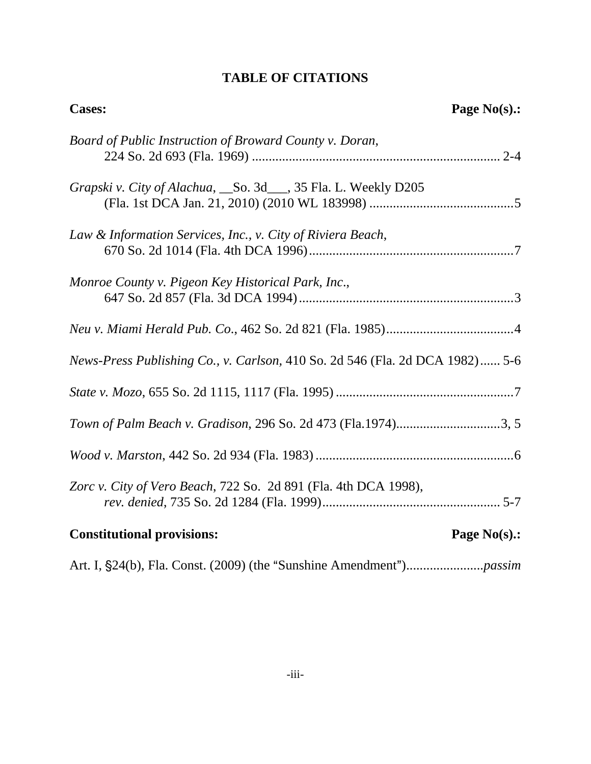# **TABLE OF CITATIONS**

| <b>Cases:</b>                                                                | Page $No(s)$ .: |
|------------------------------------------------------------------------------|-----------------|
| Board of Public Instruction of Broward County v. Doran,                      |                 |
| Grapski v. City of Alachua, So. 3d__, 35 Fla. L. Weekly D205                 |                 |
| Law & Information Services, Inc., v. City of Riviera Beach,                  |                 |
| Monroe County v. Pigeon Key Historical Park, Inc.,                           |                 |
|                                                                              |                 |
| News-Press Publishing Co., v. Carlson, 410 So. 2d 546 (Fla. 2d DCA 1982) 5-6 |                 |
|                                                                              |                 |
| Town of Palm Beach v. Gradison, 296 So. 2d 473 (Fla.1974)3, 5                |                 |
|                                                                              |                 |
| Zorc v. City of Vero Beach, 722 So. 2d 891 (Fla. 4th DCA 1998),              |                 |
| <b>Constitutional provisions:</b>                                            | Page $No(s)$ .: |
|                                                                              |                 |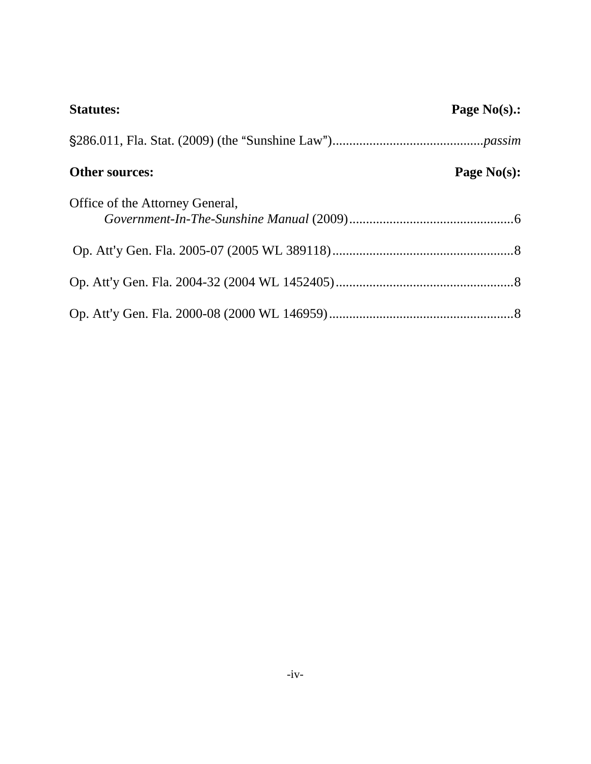| <b>Statutes:</b>                | Page $No(s)$ .: |
|---------------------------------|-----------------|
|                                 |                 |
| Other sources:                  | Page $No(s)$ :  |
| Office of the Attorney General, |                 |
|                                 |                 |
|                                 |                 |
|                                 |                 |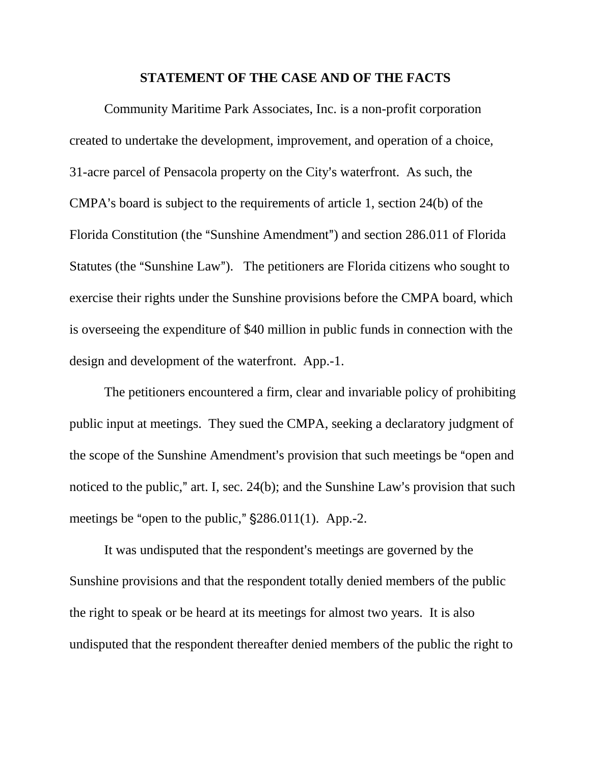#### **STATEMENT OF THE CASE AND OF THE FACTS**

Community Maritime Park Associates, Inc. is a non-profit corporation created to undertake the development, improvement, and operation of a choice, 31-acre parcel of Pensacola property on the City's waterfront. As such, the CMPA's board is subject to the requirements of article 1, section 24(b) of the Florida Constitution (the "Sunshine Amendment") and section 286.011 of Florida Statutes (the "Sunshine Law"). The petitioners are Florida citizens who sought to exercise their rights under the Sunshine provisions before the CMPA board, which is overseeing the expenditure of \$40 million in public funds in connection with the design and development of the waterfront. App.-1.

The petitioners encountered a firm, clear and invariable policy of prohibiting public input at meetings. They sued the CMPA, seeking a declaratory judgment of the scope of the Sunshine Amendment's provision that such meetings be "open and noticed to the public," art. I, sec.  $24(b)$ ; and the Sunshine Law's provision that such meetings be "open to the public,"  $\S 286.011(1)$ . App.-2.

It was undisputed that the respondent's meetings are governed by the Sunshine provisions and that the respondent totally denied members of the public the right to speak or be heard at its meetings for almost two years. It is also undisputed that the respondent thereafter denied members of the public the right to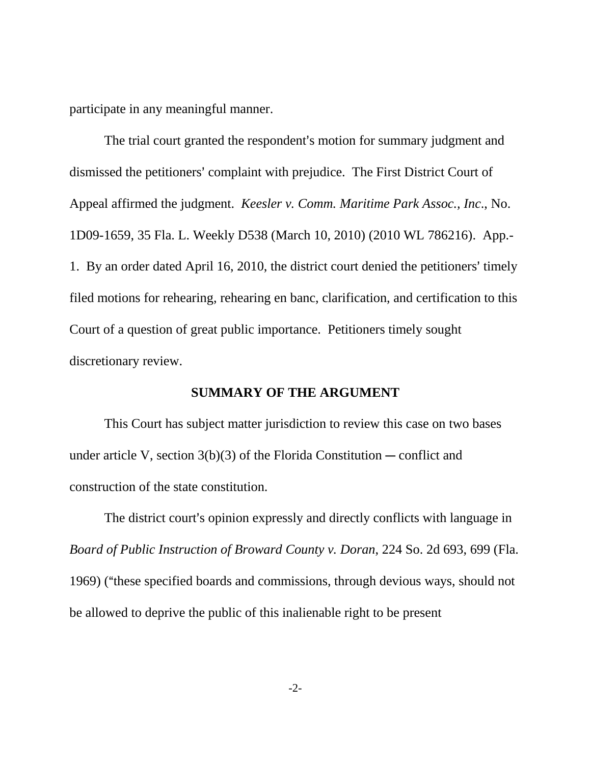participate in any meaningful manner.

The trial court granted the respondent's motion for summary judgment and dismissed the petitioners' complaint with prejudice. The First District Court of Appeal affirmed the judgment. *Keesler v. Comm. Maritime Park Assoc., Inc*., No. 1D09-1659, 35 Fla. L. Weekly D538 (March 10, 2010) (2010 WL 786216). App.- 1. By an order dated April 16, 2010, the district court denied the petitioners' timely filed motions for rehearing, rehearing en banc, clarification, and certification to this Court of a question of great public importance. Petitioners timely sought discretionary review.

#### **SUMMARY OF THE ARGUMENT**

This Court has subject matter jurisdiction to review this case on two bases under article V, section  $3(b)(3)$  of the Florida Constitution — conflict and construction of the state constitution.

The district court's opinion expressly and directly conflicts with language in *Board of Public Instruction of Broward County v. Doran*, 224 So. 2d 693, 699 (Fla. 1969) ("these specified boards and commissions, through devious ways, should not be allowed to deprive the public of this inalienable right to be present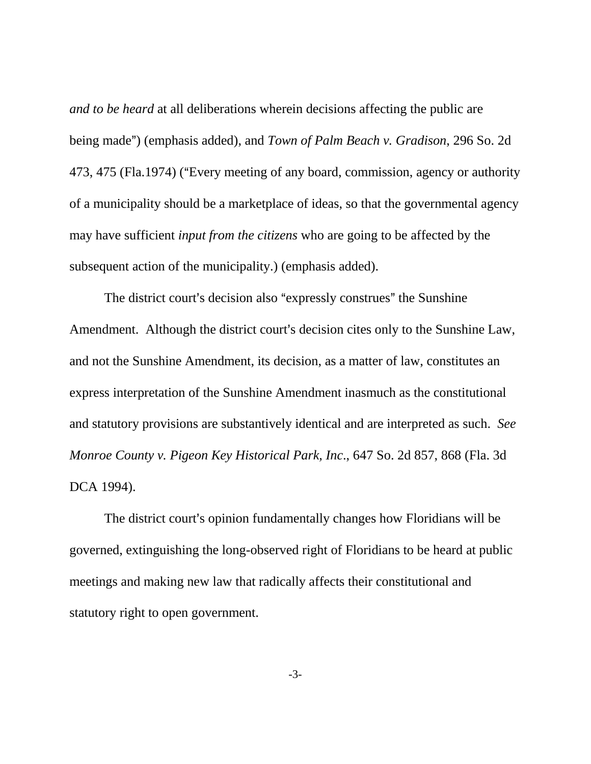*and to be heard* at all deliberations wherein decisions affecting the public are being made") (emphasis added), and *Town of Palm Beach v. Gradison*, 296 So. 2d 473, 475 (Fla.1974) ("Every meeting of any board, commission, agency or authority of a municipality should be a marketplace of ideas, so that the governmental agency may have sufficient *input from the citizens* who are going to be affected by the subsequent action of the municipality.) (emphasis added).

The district court's decision also "expressly construes" the Sunshine Amendment. Although the district court's decision cites only to the Sunshine Law, and not the Sunshine Amendment, its decision, as a matter of law, constitutes an express interpretation of the Sunshine Amendment inasmuch as the constitutional and statutory provisions are substantively identical and are interpreted as such. *See Monroe County v. Pigeon Key Historical Park, Inc*., 647 So. 2d 857, 868 (Fla. 3d DCA 1994).

The district court's opinion fundamentally changes how Floridians will be governed, extinguishing the long-observed right of Floridians to be heard at public meetings and making new law that radically affects their constitutional and statutory right to open government.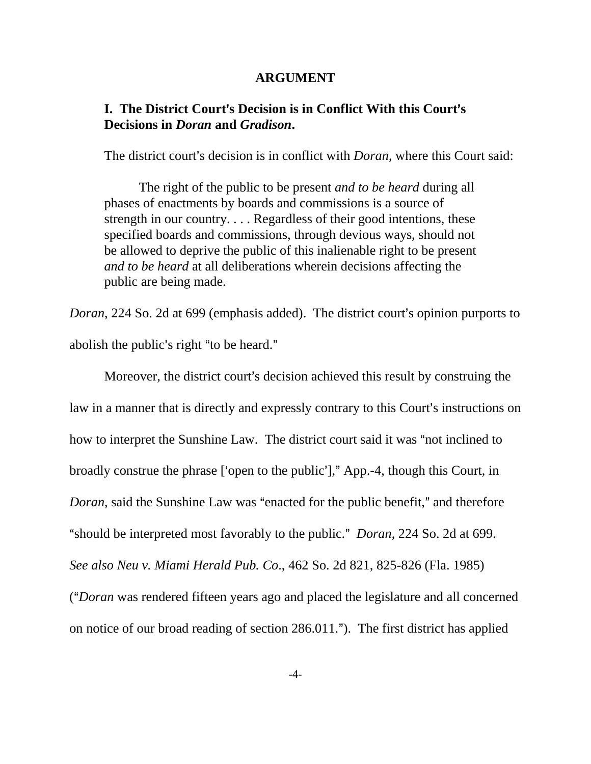#### **ARGUMENT**

### **I.** The District Court's Decision is in Conflict With this Court's **Decisions in** *Doran* **and** *Gradison***.**

The district court's decision is in conflict with *Doran*, where this Court said:

The right of the public to be present *and to be heard* during all phases of enactments by boards and commissions is a source of strength in our country. . . . Regardless of their good intentions, these specified boards and commissions, through devious ways, should not be allowed to deprive the public of this inalienable right to be present *and to be heard* at all deliberations wherein decisions affecting the public are being made.

*Doran*, 224 So. 2d at 699 (emphasis added). The district court's opinion purports to abolish the public's right "to be heard."

Moreover, the district court's decision achieved this result by construing the law in a manner that is directly and expressly contrary to this Court's instructions on how to interpret the Sunshine Law. The district court said it was "not inclined to broadly construe the phrase ['open to the public']," App.-4, though this Court, in *Doran*, said the Sunshine Law was "enacted for the public benefit," and therefore "should be interpreted most favorably to the public." *Doran*, 224 So. 2d at 699. *See also Neu v. Miami Herald Pub. Co*., 462 So. 2d 821, 825-826 (Fla. 1985) (A*Doran* was rendered fifteen years ago and placed the legislature and all concerned on notice of our broad reading of section  $286.011$ ."). The first district has applied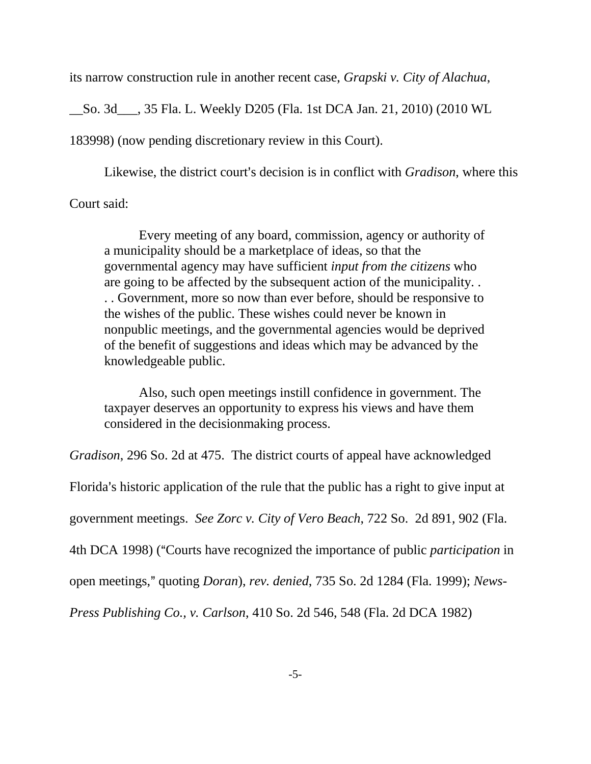its narrow construction rule in another recent case, *Grapski v. City of Alachua*,

\_\_So. 3d\_\_\_, 35 Fla. L. Weekly D205 (Fla. 1st DCA Jan. 21, 2010) (2010 WL

183998) (now pending discretionary review in this Court).

Likewise, the district court's decision is in conflict with *Gradison*, where this Court said:

Every meeting of any board, commission, agency or authority of a municipality should be a marketplace of ideas, so that the governmental agency may have sufficient *input from the citizens* who are going to be affected by the subsequent action of the municipality. . . . Government, more so now than ever before, should be responsive to the wishes of the public. These wishes could never be known in nonpublic meetings, and the governmental agencies would be deprived of the benefit of suggestions and ideas which may be advanced by the knowledgeable public.

Also, such open meetings instill confidence in government. The taxpayer deserves an opportunity to express his views and have them considered in the decisionmaking process.

*Gradison*, 296 So. 2d at 475. The district courts of appeal have acknowledged

Florida's historic application of the rule that the public has a right to give input at

government meetings. *See Zorc v. City of Vero Beach*, 722 So. 2d 891, 902 (Fla.

4th DCA 1998) ("Courts have recognized the importance of public *participation* in

open meetings,@ quoting *Doran*), *rev. denied*, 735 So. 2d 1284 (Fla. 1999); *News-*

*Press Publishing Co., v. Carlson*, 410 So. 2d 546, 548 (Fla. 2d DCA 1982)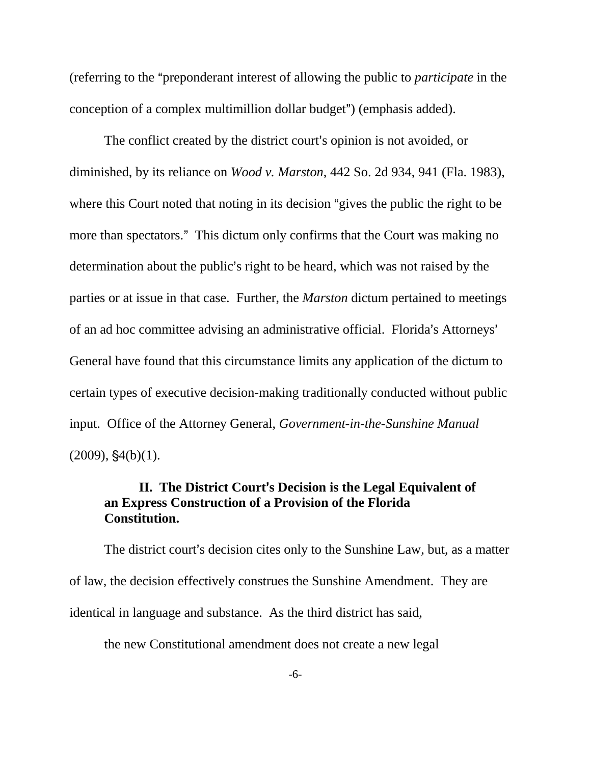(referring to the "preponderant interest of allowing the public to *participate* in the conception of a complex multimillion dollar budget") (emphasis added).

The conflict created by the district court's opinion is not avoided, or diminished, by its reliance on *Wood v. Marston*, 442 So. 2d 934, 941 (Fla. 1983), where this Court noted that noting in its decision "gives the public the right to be more than spectators." This dictum only confirms that the Court was making no determination about the public's right to be heard, which was not raised by the parties or at issue in that case. Further, the *Marston* dictum pertained to meetings of an ad hoc committee advising an administrative official. Florida's Attorneys' General have found that this circumstance limits any application of the dictum to certain types of executive decision-making traditionally conducted without public input. Office of the Attorney General, *Government-in-the-Sunshine Manual*  $(2009)$ ,  $$4(b)(1)$ .

### **II.** The District Court's Decision is the Legal Equivalent of **an Express Construction of a Provision of the Florida Constitution.**

The district court's decision cites only to the Sunshine Law, but, as a matter of law, the decision effectively construes the Sunshine Amendment. They are identical in language and substance. As the third district has said,

the new Constitutional amendment does not create a new legal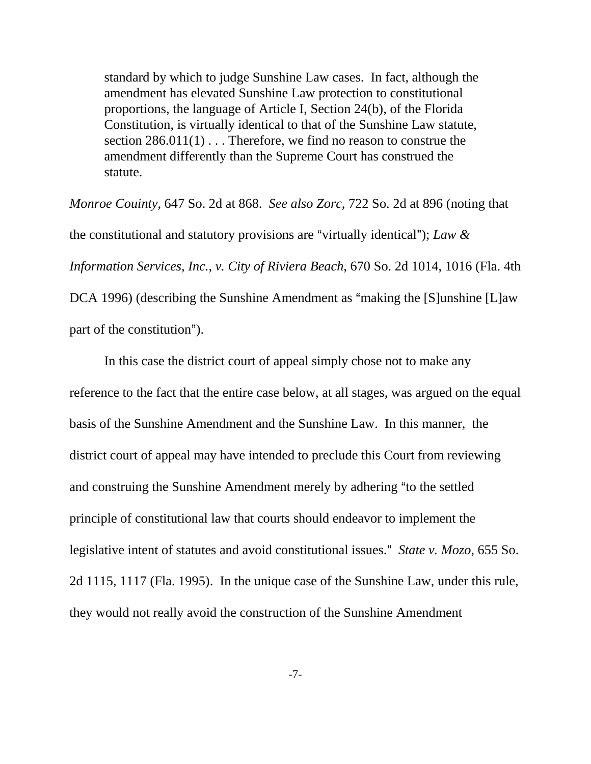standard by which to judge Sunshine Law cases. In fact, although the amendment has elevated Sunshine Law protection to constitutional proportions, the language of Article I, Section 24(b), of the Florida Constitution, is virtually identical to that of the Sunshine Law statute, section 286.011(1) . . . Therefore, we find no reason to construe the amendment differently than the Supreme Court has construed the statute.

*Monroe Couinty*, 647 So. 2d at 868. *See also Zorc*, 722 So. 2d at 896 (noting that the constitutional and statutory provisions are "virtually identical"); *Law & Information Services, Inc., v. City of Riviera Beach*, 670 So. 2d 1014, 1016 (Fla. 4th DCA 1996) (describing the Sunshine Amendment as "making the [S]unshine [L]aw part of the constitution").

In this case the district court of appeal simply chose not to make any reference to the fact that the entire case below, at all stages, was argued on the equal basis of the Sunshine Amendment and the Sunshine Law. In this manner, the district court of appeal may have intended to preclude this Court from reviewing and construing the Sunshine Amendment merely by adhering "to the settled principle of constitutional law that courts should endeavor to implement the legislative intent of statutes and avoid constitutional issues." *State v. Mozo*, 655 So. 2d 1115, 1117 (Fla. 1995). In the unique case of the Sunshine Law, under this rule, they would not really avoid the construction of the Sunshine Amendment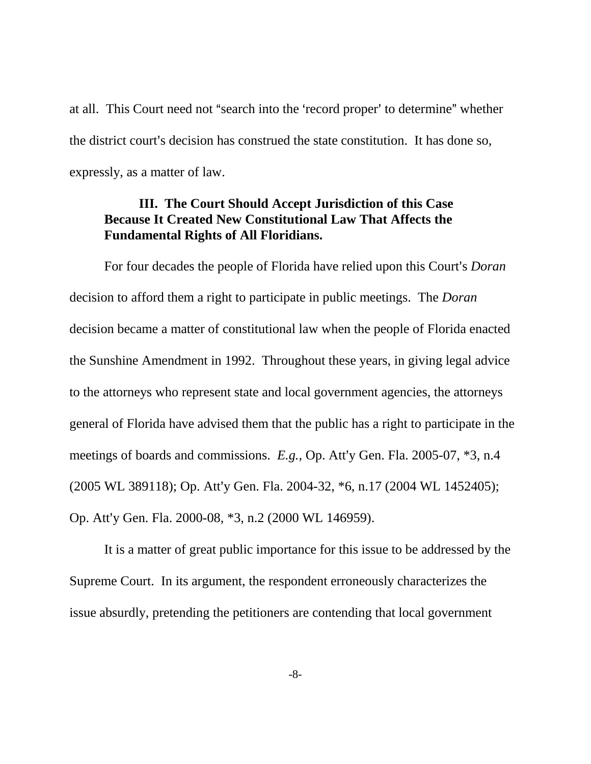at all. This Court need not "search into the 'record proper' to determine" whether the district court's decision has construed the state constitution. It has done so, expressly, as a matter of law.

### **III. The Court Should Accept Jurisdiction of this Case Because It Created New Constitutional Law That Affects the Fundamental Rights of All Floridians.**

For four decades the people of Florida have relied upon this Court's *Doran* decision to afford them a right to participate in public meetings. The *Doran* decision became a matter of constitutional law when the people of Florida enacted the Sunshine Amendment in 1992. Throughout these years, in giving legal advice to the attorneys who represent state and local government agencies, the attorneys general of Florida have advised them that the public has a right to participate in the meetings of boards and commissions.  $E.g.,$  Op. Att'y Gen. Fla. 2005-07,  $*3$ , n.4  $(2005 \text{ WL } 389118)$ ; Op. Att'y Gen. Fla. 2004-32,  $*6$ , n.17 (2004 WL 1452405); Op. Att'y Gen. Fla. 2000-08, \*3, n.2 (2000 WL 146959).

It is a matter of great public importance for this issue to be addressed by the Supreme Court. In its argument, the respondent erroneously characterizes the issue absurdly, pretending the petitioners are contending that local government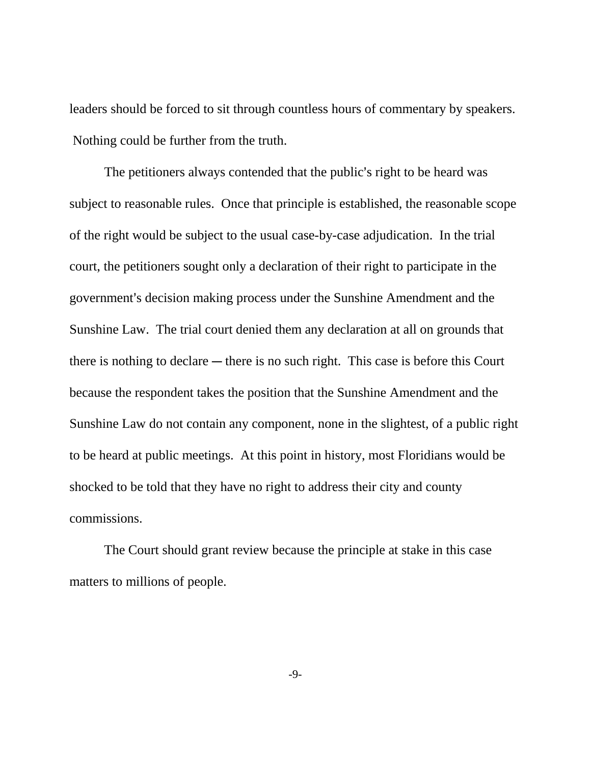leaders should be forced to sit through countless hours of commentary by speakers. Nothing could be further from the truth.

The petitioners always contended that the public's right to be heard was subject to reasonable rules. Once that principle is established, the reasonable scope of the right would be subject to the usual case-by-case adjudication. In the trial court, the petitioners sought only a declaration of their right to participate in the government's decision making process under the Sunshine Amendment and the Sunshine Law. The trial court denied them any declaration at all on grounds that there is nothing to declare  $-$  there is no such right. This case is before this Court because the respondent takes the position that the Sunshine Amendment and the Sunshine Law do not contain any component, none in the slightest, of a public right to be heard at public meetings. At this point in history, most Floridians would be shocked to be told that they have no right to address their city and county commissions.

The Court should grant review because the principle at stake in this case matters to millions of people.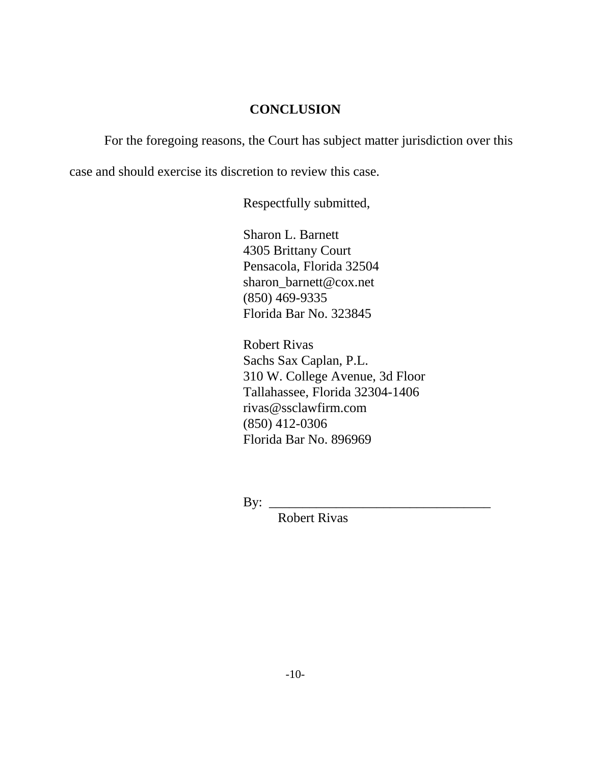## **CONCLUSION**

For the foregoing reasons, the Court has subject matter jurisdiction over this

case and should exercise its discretion to review this case.

Respectfully submitted,

Sharon L. Barnett 4305 Brittany Court Pensacola, Florida 32504 sharon\_barnett@cox.net (850) 469-9335 Florida Bar No. 323845

Robert Rivas Sachs Sax Caplan, P.L. 310 W. College Avenue, 3d Floor Tallahassee, Florida 32304-1406 rivas@ssclawfirm.com (850) 412-0306 Florida Bar No. 896969

By:  $\frac{1}{\sqrt{1-\frac{1}{2}}\sqrt{1-\frac{1}{2}}\sqrt{1-\frac{1}{2}}\sqrt{1-\frac{1}{2}}\sqrt{1-\frac{1}{2}}\sqrt{1-\frac{1}{2}}\sqrt{1-\frac{1}{2}}\sqrt{1-\frac{1}{2}}\sqrt{1-\frac{1}{2}}\sqrt{1-\frac{1}{2}}\sqrt{1-\frac{1}{2}}\sqrt{1-\frac{1}{2}}\sqrt{1-\frac{1}{2}}\sqrt{1-\frac{1}{2}}\sqrt{1-\frac{1}{2}}\sqrt{1-\frac{1}{2}}\sqrt{1-\frac{1}{2}}\sqrt{1-\frac{1}{2}}\sqrt{1-\frac{1}{2}}\sqrt$ 

Robert Rivas